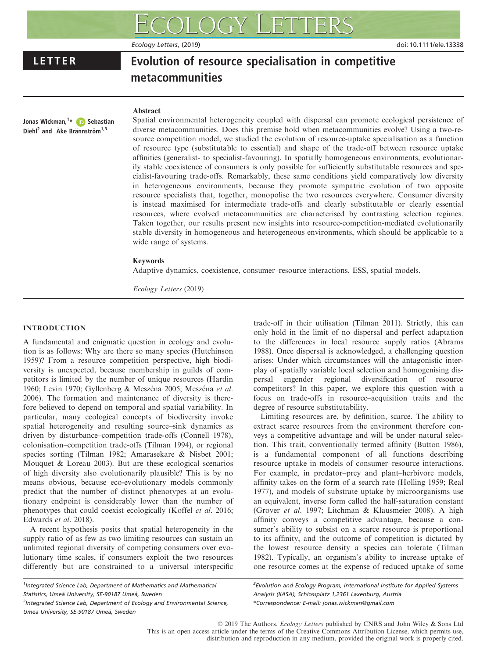Ecology Letters, (2019) **Ecology Letters, (2019)** doi: 10.1111/ele.13338

# LETTER Evolution of resource specialisation in competitive metacommunities

# Abstract

Jonas Wickman,<sup>1</sup>\* **(D)** Sebastian Diehl<sup>2</sup> and  $Å$ ke Brännström<sup>1,3</sup>

Spatial environmental heterogeneity coupled with dispersal can promote ecological persistence of diverse metacommunities. Does this premise hold when metacommunities evolve? Using a two-resource competition model, we studied the evolution of resource-uptake specialisation as a function of resource type (substitutable to essential) and shape of the trade-off between resource uptake affinities (generalist- to specialist-favouring). In spatially homogeneous environments, evolutionarily stable coexistence of consumers is only possible for sufficiently substitutable resources and specialist-favouring trade-offs. Remarkably, these same conditions yield comparatively low diversity in heterogeneous environments, because they promote sympatric evolution of two opposite resource specialists that, together, monopolise the two resources everywhere. Consumer diversity is instead maximised for intermediate trade-offs and clearly substitutable or clearly essential resources, where evolved metacommunities are characterised by contrasting selection regimes. Taken together, our results present new insights into resource-competition-mediated evolutionarily stable diversity in homogeneous and heterogeneous environments, which should be applicable to a wide range of systems.

# Keywords

Adaptive dynamics, coexistence, consumer–resource interactions, ESS, spatial models.

Ecology Letters (2019)

# INTRODUCTION

A fundamental and enigmatic question in ecology and evolution is as follows: Why are there so many species (Hutchinson 1959)? From a resource competition perspective, high biodiversity is unexpected, because membership in guilds of competitors is limited by the number of unique resources (Hardin 1960; Levin 1970; Gyllenberg & Meszéna 2005; Meszéna et al. 2006). The formation and maintenance of diversity is therefore believed to depend on temporal and spatial variability. In particular, many ecological concepts of biodiversity invoke spatial heterogeneity and resulting source–sink dynamics as driven by disturbance–competition trade-offs (Connell 1978), colonisation–competition trade-offs (Tilman 1994), or regional species sorting (Tilman 1982; Amarasekare & Nisbet 2001; Mouquet & Loreau 2003). But are these ecological scenarios of high diversity also evolutionarily plausible? This is by no means obvious, because eco-evolutionary models commonly predict that the number of distinct phenotypes at an evolutionary endpoint is considerably lower than the number of phenotypes that could coexist ecologically (Koffel et al. 2016; Edwards et al. 2018).

A recent hypothesis posits that spatial heterogeneity in the supply ratio of as few as two limiting resources can sustain an unlimited regional diversity of competing consumers over evolutionary time scales, if consumers exploit the two resources differently but are constrained to a universal interspecific

<sup>1</sup>Integrated Science Lab, Department of Mathematics and Mathematical Statistics, Umeå University, SE-90187 Umeå, Sweden <sup>2</sup>Integrated Science Lab, Department of Ecology and Environmental Science,

Umeå University, SE-90187 Umeå, Sweden

trade-off in their utilisation (Tilman 2011). Strictly, this can only hold in the limit of no dispersal and perfect adaptation to the differences in local resource supply ratios (Abrams 1988). Once dispersal is acknowledged, a challenging question arises: Under which circumstances will the antagonistic interplay of spatially variable local selection and homogenising dispersal engender regional diversification of resource competitors? In this paper, we explore this question with a focus on trade-offs in resource–acquisition traits and the degree of resource substitutability.

Limiting resources are, by definition, scarce. The ability to extract scarce resources from the environment therefore conveys a competitive advantage and will be under natural selection. This trait, conventionally termed affinity (Button 1986), is a fundamental component of all functions describing resource uptake in models of consumer–resource interactions. For example, in predator–prey and plant–herbivore models, affinity takes on the form of a search rate (Holling 1959; Real 1977), and models of substrate uptake by microorganisms use an equivalent, inverse form called the half-saturation constant (Grover et al. 1997; Litchman & Klausmeier 2008). A high affinity conveys a competitive advantage, because a consumer's ability to subsist on a scarce resource is proportional to its affinity, and the outcome of competition is dictated by the lowest resource density a species can tolerate (Tilman 1982). Typically, an organism's ability to increase uptake of one resource comes at the expense of reduced uptake of some

<sup>3</sup> Evolution and Ecology Program, International Institute for Applied Systems Analysis (IIASA), Schlossplatz 1,2361 Laxenburg, Austria \*Correspondence: E-mail: [jonas.wickman@gmail.com](mailto:)

© 2019 The Authors. Ecology Letters published by CNRS and John Wiley & Sons Ltd This is an open access article under the terms of the [Creative Commons Attribution](http://creativecommons.org/licenses/by/4.0/) License, which permits use, distribution and reproduction in any medium, provided the original work is properly cited.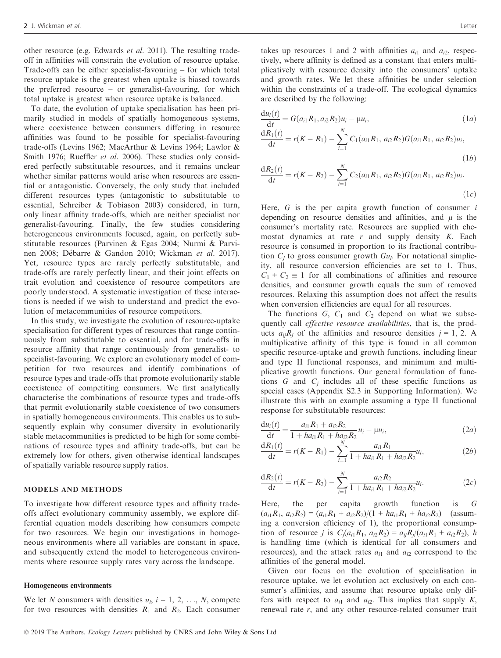other resource (e.g. Edwards et al. 2011). The resulting tradeoff in affinities will constrain the evolution of resource uptake. Trade-offs can be either specialist-favouring – for which total resource uptake is the greatest when uptake is biased towards the preferred resource – or generalist-favouring, for which total uptake is greatest when resource uptake is balanced.

To date, the evolution of uptake specialisation has been primarily studied in models of spatially homogeneous systems, where coexistence between consumers differing in resource affinities was found to be possible for specialist-favouring trade-offs (Levins 1962; MacArthur & Levins 1964; Lawlor & Smith 1976; Rueffler et al. 2006). These studies only considered perfectly substitutable resources, and it remains unclear whether similar patterns would arise when resources are essential or antagonistic. Conversely, the only study that included different resources types (antagonistic to substitutable to essential, Schreiber & Tobiason 2003) considered, in turn, only linear affinity trade-offs, which are neither specialist nor generalist-favouring. Finally, the few studies considering heterogeneous environments focused, again, on perfectly substitutable resources (Parvinen & Egas 2004; Nurmi & Parvinen 2008; Debarre & Gandon 2010; Wickman et al. 2017). Yet, resource types are rarely perfectly substitutable, and trade-offs are rarely perfectly linear, and their joint effects on trait evolution and coexistence of resource competitors are poorly understood. A systematic investigation of these interactions is needed if we wish to understand and predict the evolution of metacommunities of resource competitors.

In this study, we investigate the evolution of resource-uptake specialisation for different types of resources that range continuously from substitutable to essential, and for trade-offs in resource affinity that range continuously from generalist- to specialist-favouring. We explore an evolutionary model of competition for two resources and identify combinations of resource types and trade-offs that promote evolutionarily stable coexistence of competiting consumers. We first analytically characterise the combinations of resource types and trade-offs that permit evolutionarily stable coexistence of two consumers in spatially homogeneous environments. This enables us to subsequently explain why consumer diversity in evolutionarily stable metacommunities is predicted to be high for some combinations of resource types and affinity trade-offs, but can be extremely low for others, given otherwise identical landscapes of spatially variable resource supply ratios.

## MODELS AND METHODS

To investigate how different resource types and affinity tradeoffs affect evolutionary community assembly, we explore differential equation models describing how consumers compete for two resources. We begin our investigations in homogeneous environments where all variables are constant in space, and subsequently extend the model to heterogeneous environments where resource supply rates vary across the landscape.

#### Homogeneous environments

We let N consumers with densities  $u_i$ ,  $i = 1, 2, ..., N$ , compete for two resources with densities  $R_1$  and  $R_2$ . Each consumer takes up resources 1 and 2 with affinities  $a_{i1}$  and  $a_{i2}$ , respectively, where affinity is defined as a constant that enters multiplicatively with resource density into the consumers' uptake and growth rates. We let these affinities be under selection within the constraints of a trade-off. The ecological dynamics are described by the following:

$$
\frac{du_i(t)}{dt} = G(a_{i1}R_1, a_{i2}R_2)u_i - \mu u_i,
$$
\n(1*a*)  
\n
$$
\frac{dR_1(t)}{dt} = r(K - R_1) - \sum_{i=1}^{N} C_1(a_{i1}R_1, a_{i2}R_2)G(a_{i1}R_1, a_{i2}R_2)u_i,
$$
\n(1*b*)

$$
\frac{dR_2(t)}{dt} = r(K - R_2) - \sum_{i=1}^{N} C_2(a_{i1}R_1, a_{i2}R_2)G(a_{i1}R_1, a_{i2}R_2)u_i.
$$
\n(1*c*)

Here,  $G$  is the per capita growth function of consumer  $i$ depending on resource densities and affinities, and  $\mu$  is the consumer's mortality rate. Resources are supplied with chemostat dynamics at rate  $r$  and supply density  $K$ . Each resource is consumed in proportion to its fractional contribution  $C_i$  to gross consumer growth  $Gu_i$ . For notational simplicity, all resource conversion efficiencies are set to 1. Thus,  $C_1 + C_2 \equiv 1$  for all combinations of affinities and resource densities, and consumer growth equals the sum of removed resources. Relaxing this assumption does not affect the results when conversion efficiencies are equal for all resources.

The functions  $G$ ,  $C_1$  and  $C_2$  depend on what we subsequently call *effective resource availabilities*, that is, the products  $a_{ij}R_j$  of the affinities and resource densities  $j = 1, 2$ . A multiplicative affinity of this type is found in all common specific resource-uptake and growth functions, including linear and type II functional responses, and minimum and multiplicative growth functions. Our general formulation of functions  $G$  and  $C<sub>j</sub>$  includes all of these specific functions as special cases (Appendix S2.3 in Supporting Information). We illustrate this with an example assuming a type II functional response for substitutable resources:

$$
\frac{du_i(t)}{dt} = \frac{a_{i1}R_1 + a_{i2}R_2}{1 + ha_{i1}R_1 + ha_{i2}R_2}u_i - \mu u_i,
$$
\n(2*a*)

$$
\frac{dR_1(t)}{dt} = r(K - R_1) - \sum_{i=1}^{N} \frac{a_{i1}R_1}{1 + ha_{i1}R_1 + ha_{i2}R_2}u_i,
$$
 (2b)

$$
\frac{dR_2(t)}{dt} = r(K - R_2) - \sum_{i=1}^{N} \frac{a_{i2}R_2}{1 + ha_{i1}R_1 + ha_{i2}R_2}u_i.
$$
 (2*c*)

Here, the per capita growth function is G  $(a_{i1}R_1, a_{i2}R_2) = (a_{i1}R_1 + a_{i2}R_2)/(1 + ha_{i1}R_1 + ha_{i2}R_2)$  (assuming a conversion efficiency of 1), the proportional consumption of resource *j* is  $C_i(a_{i1}R_1, a_{i2}R_2) = a_{ii}R_i/(a_{i1}R_1 + a_{i2}R_2)$ , *h* is handling time (which is identical for all consumers and resources), and the attack rates  $a_{i1}$  and  $a_{i2}$  correspond to the affinities of the general model.

Given our focus on the evolution of specialisation in resource uptake, we let evolution act exclusively on each consumer's affinities, and assume that resource uptake only differs with respect to  $a_{i1}$  and  $a_{i2}$ . This implies that supply K, renewal rate r, and any other resource-related consumer trait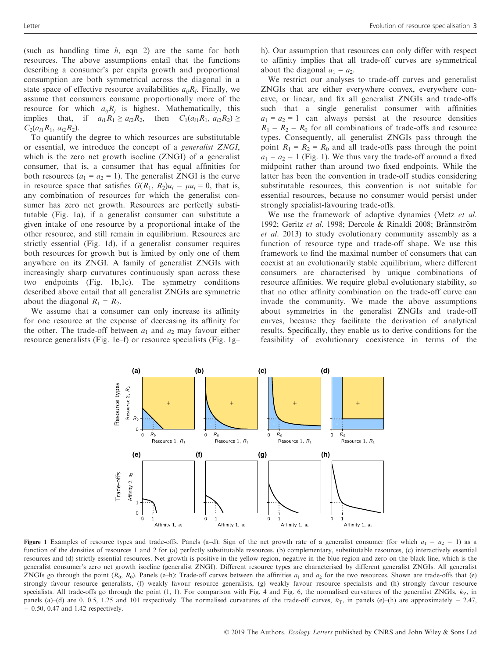(such as handling time  $h$ , eqn 2) are the same for both resources. The above assumptions entail that the functions describing a consumer's per capita growth and proportional consumption are both symmetrical across the diagonal in a state space of effective resource availabilities  $a_{ii}R_i$ . Finally, we assume that consumers consume proportionally more of the resource for which  $a_{ij}R_j$  is highest. Mathematically, this implies that, if  $a_{i1}R_1 \ge a_{i2}R_2$ , then  $C_1(a_{i1}R_1, a_{i2}R_2) \ge$  $C_2(a_{i1}R_1, a_{i2}R_2)$ .

To quantify the degree to which resources are substitutable or essential, we introduce the concept of a generalist ZNGI, which is the zero net growth isocline (ZNGI) of a generalist consumer, that is, a consumer that has equal affinities for both resources  $(a_1 = a_2 = 1)$ . The generalist ZNGI is the curve in resource space that satisfies  $G(R_1, R_2)u_i - \mu u_i = 0$ , that is, any combination of resources for which the generalist consumer has zero net growth. Resources are perfectly substitutable (Fig. 1a), if a generalist consumer can substitute a given intake of one resource by a proportional intake of the other resource, and still remain in equilibrium. Resources are strictly essential (Fig. 1d), if a generalist consumer requires both resources for growth but is limited by only one of them anywhere on its ZNGI. A family of generalist ZNGIs with increasingly sharp curvatures continuously span across these two endpoints (Fig. 1b,1c). The symmetry conditions described above entail that all generalist ZNGIs are symmetric about the diagonal  $R_1 = R_2$ .

We assume that a consumer can only increase its affinity for one resource at the expense of decreasing its affinity for the other. The trade-off between  $a_1$  and  $a_2$  may favour either resource generalists (Fig. 1e–f) or resource specialists (Fig. 1g– h). Our assumption that resources can only differ with respect to affinity implies that all trade-off curves are symmetrical about the diagonal  $a_1 = a_2$ .

We restrict our analyses to trade-off curves and generalist ZNGIs that are either everywhere convex, everywhere concave, or linear, and fix all generalist ZNGIs and trade-offs such that a single generalist consumer with affinities  $a_1 = a_2 = 1$  can always persist at the resource densities  $R_1 = R_2 = R_0$  for all combinations of trade-offs and resource types. Consequently, all generalist ZNGIs pass through the point  $R_1 = R_2 = R_0$  and all trade-offs pass through the point  $a_1 = a_2 = 1$  (Fig. 1). We thus vary the trade-off around a fixed midpoint rather than around two fixed endpoints. While the latter has been the convention in trade-off studies considering substitutable resources, this convention is not suitable for essential resources, because no consumer would persist under strongly specialist-favouring trade-offs.

We use the framework of adaptive dynamics (Metz et al. 1992; Geritz et al. 1998; Dercole & Rinaldi 2008; Brännström et al. 2013) to study evolutionary community assembly as a function of resource type and trade-off shape. We use this framework to find the maximal number of consumers that can coexist at an evolutionarily stable equilibrium, where different consumers are characterised by unique combinations of resource affinities. We require global evolutionary stability, so that no other affinity combination on the trade-off curve can invade the community. We made the above assumptions about symmetries in the generalist ZNGIs and trade-off curves, because they facilitate the derivation of analytical results. Specifically, they enable us to derive conditions for the feasibility of evolutionary coexistence in terms of the



Figure 1 Examples of resource types and trade-offs. Panels (a–d): Sign of the net growth rate of a generalist consumer (for which  $a_1 = a_2 = 1$ ) as a function of the densities of resources 1 and 2 for (a) perfectly substitutable resources, (b) complementary, substitutable resources, (c) interactively essential resources and (d) strictly essential resources. Net growth is positive in the yellow region, negative in the blue region and zero on the black line, which is the generalist consumer's zero net growth isocline (generalist ZNGI). Different resource types are characterised by different generalist ZNGIs. All generalist ZNGIs go through the point  $(R_0, R_0)$ . Panels (e–h): Trade-off curves between the affinities  $a_1$  and  $a_2$  for the two resources. Shown are trade-offs that (e) strongly favour resource generalists, (f) weakly favour resource generalists, (g) weakly favour resource specialists and (h) strongly favour resource specialists. All trade-offs go through the point (1, 1). For comparison with Fig. 4 and Fig. 6, the normalised curvatures of the generalist ZNGIs,  $\hat{\kappa}_Z$ , in panels (a)–(d) are 0, 0.5, 1.25 and 101 respectively. The normalised curvatures of the trade-off curves,  $\hat{\kappa}_T$ , in panels (e)–(h) are approximately – 2.47, - 0.50, 0.47 and 1.42 respectively.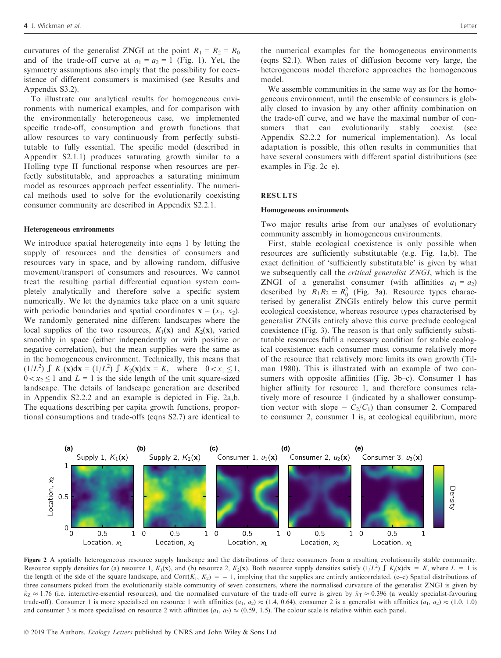curvatures of the generalist ZNGI at the point  $R_1 = R_2 = R_0$ and of the trade-off curve at  $a_1 = a_2 = 1$  (Fig. 1). Yet, the symmetry assumptions also imply that the possibility for coexistence of different consumers is maximised (see Results and Appendix S3.2).

To illustrate our analytical results for homogeneous environments with numerical examples, and for comparison with the environmentally heterogeneous case, we implemented specific trade-off, consumption and growth functions that allow resources to vary continuously from perfectly substitutable to fully essential. The specific model (described in Appendix S2.1.1) produces saturating growth similar to a Holling type II functional response when resources are perfectly substitutable, and approaches a saturating minimum model as resources approach perfect essentiality. The numerical methods used to solve for the evolutionarily coexisting consumer community are described in Appendix S2.2.1.

#### Heterogeneous environments

We introduce spatial heterogeneity into eqns 1 by letting the supply of resources and the densities of consumers and resources vary in space, and by allowing random, diffusive movement/transport of consumers and resources. We cannot treat the resulting partial differential equation system completely analytically and therefore solve a specific system numerically. We let the dynamics take place on a unit square with periodic boundaries and spatial coordinates  $\mathbf{x} = (x_1, x_2)$ . We randomly generated nine different landscapes where the local supplies of the two resources,  $K_1(\mathbf{x})$  and  $K_2(\mathbf{x})$ , varied smoothly in space (either independently or with positive or negative correlation), but the mean supplies were the same as in the homogeneous environment. Technically, this means that  $(1/L^2)$   $\int K_1(x)dx = (1/L^2) \int K_2(x)dx = K$ , where  $0 < x_1 \le 1$ ,  $0 \lt x_2 \leq 1$  and  $L = 1$  is the side length of the unit square-sized landscape. The details of landscape generation are described in Appendix S2.2.2 and an example is depicted in Fig. 2a,b. The equations describing per capita growth functions, proportional consumptions and trade-offs (eqns S2.7) are identical to

the numerical examples for the homogeneous environments (eqns S2.1). When rates of diffusion become very large, the heterogeneous model therefore approaches the homogeneous model.

We assemble communities in the same way as for the homogeneous environment, until the ensemble of consumers is globally closed to invasion by any other affinity combination on the trade-off curve, and we have the maximal number of consumers that can evolutionarily stably coexist (see Appendix S2.2.2 for numerical implementation). As local adaptation is possible, this often results in communities that have several consumers with different spatial distributions (see examples in Fig. 2c–e).

#### RESULTS

#### Homogeneous environments

Two major results arise from our analyses of evolutionary community assembly in homogeneous environments.

First, stable ecological coexistence is only possible when resources are sufficiently substitutable (e.g. Fig. 1a,b). The exact definition of 'sufficiently substitutable' is given by what we subsequently call the critical generalist ZNGI, which is the ZNGI of a generalist consumer (with affinities  $a_1 = a_2$ ) described by  $R_1 R_2 = R_0^2$  (Fig. 3a). Resource types characterised by generalist ZNGIs entirely below this curve permit ecological coexistence, whereas resource types characterised by generalist ZNGIs entirely above this curve preclude ecological coexistence (Fig. 3). The reason is that only sufficiently substitutable resources fulfil a necessary condition for stable ecological coexistence: each consumer must consume relatively more of the resource that relatively more limits its own growth (Tilman 1980). This is illustrated with an example of two consumers with opposite affinities (Fig. 3b–c). Consumer 1 has higher affinity for resource 1, and therefore consumes relatively more of resource 1 (indicated by a shallower consumption vector with slope  $-C_2/C_1$ ) than consumer 2. Compared to consumer 2, consumer 1 is, at ecological equilibrium, more



Figure 2 A spatially heterogeneous resource supply landscape and the distributions of three consumers from a resulting evolutionarily stable community. Resource supply densities for (a) resource 1,  $K_1(\mathbf{x})$ , and (b) resource 2,  $K_2(\mathbf{x})$ . Both resource supply densities satisfy  $(1/L^2) \int K_j(\mathbf{x}) d\mathbf{x} = K$ , where  $L = 1$  is the length of the side of the square landscape, and  $Corr(K_1, K_2) = -1$ , implying that the supplies are entirely anticorrelated. (c–e) Spatial distributions of three consumers picked from the evolutionarily stable community of seven consumers, where the normalised curvature of the generalist ZNGI is given by  $\hat{\kappa}_Z \approx 1.76$  (i.e. interactive-essential resources), and the normalised curvature of the trade-off curve is given by  $\hat{\kappa}_T \approx 0.396$  (a weakly specialist-favouring trade-off). Consumer 1 is more specialised on resource 1 with affinities (a<sub>1</sub>, a<sub>2</sub>)  $\approx$  (1.4, 0.64), consumer 2 is a generalist with affinities (a<sub>1</sub>, a<sub>2</sub>)  $\approx$  (1.0, 1.0) and consumer 3 is more specialised on resource 2 with affinities  $(a_1, a_2) \approx (0.59, 1.5)$ . The colour scale is relative within each panel.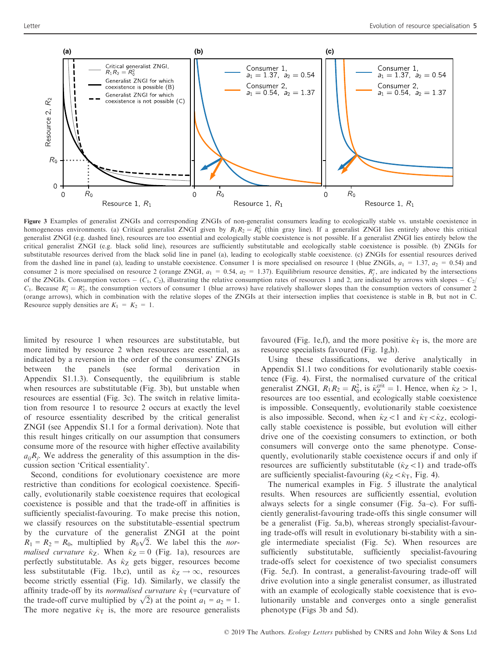

Figure 3 Examples of generalist ZNGIs and corresponding ZNGIs of non-generalist consumers leading to ecologically stable vs. unstable coexistence in homogeneous environments. (a) Critical generalist ZNGI given by  $R_1R_2 = R_0^2$  (thin gray line). If a generalist ZNGI lies entirely above this critical generalist ZNGI (e.g. dashed line), resources are too essential and ecologically stable coexistence is not possible. If a generalist ZNGI lies entirely below the critical generalist ZNGI (e.g. black solid line), resources are sufficiently substitutable and ecologically stable coexistence is possible. (b) ZNGIs for substitutable resources derived from the black solid line in panel (a), leading to ecologically stable coexistence. (c) ZNGIs for essential resources derived from the dashed line in panel (a), leading to unstable coexistence. Consumer 1 is more specialised on resource 1 (blue ZNGIs,  $a_1 = 1.37$ ,  $a_2 = 0.54$ ) and consumer 2 is more specialised on resource 2 (orange ZNGI,  $a_1 = 0.54$ ,  $a_2 = 1.37$ ). Equilibrium resource densities,  $R_j^*$ , are indicated by the intersections of the ZNGIs. Consumption vectors  $-$  (C<sub>1</sub>, C<sub>2</sub>), illustrating the relative consumption rates of resources 1 and 2, are indicated by arrows with slopes  $-$  C<sub>2</sub>/  $C_1$ . Because  $R_1^* = R_2^*$ , the consumption vectors of consumer 1 (blue arrows) have relatively shallower slopes than the consumption vectors of consumer 2 (orange arrows), which in combination with the relative slopes of the ZNGIs at their intersection implies that coexistence is stable in B, but not in C. Resource supply densities are  $K_1 = K_2 = 1$ .

limited by resource 1 when resources are substitutable, but more limited by resource 2 when resources are essential, as indicated by a reversion in the order of the consumers' ZNGIs between the panels (see formal derivation in Appendix S1.1.3). Consequently, the equilibrium is stable when resources are substitutable (Fig. 3b), but unstable when resources are essential (Fig. 3c). The switch in relative limitation from resource 1 to resource 2 occurs at exactly the level of resource essentiality described by the critical generalist ZNGI (see Appendix S1.1 for a formal derivation). Note that this result hinges critically on our assumption that consumers consume more of the resource with higher effective availability  $a_{ii}R_i$ . We address the generality of this assumption in the discussion section 'Critical essentiality'.

Second, conditions for evolutionary coexistence are more restrictive than conditions for ecological coexistence. Specifically, evolutionarily stable coexistence requires that ecological coexistence is possible and that the trade-off in affinities is sufficiently specialist-favouring. To make precise this notion, we classify resources on the substitutable–essential spectrum by the curvature of the generalist ZNGI at the point  $R_1 = R_2 = R_0$ , multiplied by  $R_0\sqrt{2}$ . We label this the normalised curvature  $\hat{\kappa}_Z$ . When  $\hat{\kappa}_Z = 0$  (Fig. 1a), resources are perfectly substitutable. As  $\hat{\kappa}_Z$  gets bigger, resources become less substitutable (Fig. 1b,c), until as  $\hat{\kappa}_Z \to \infty$ , resources become strictly essential (Fig. 1d). Similarly, we classify the affinity trade-off by its *normalised curvature*  $\hat{\kappa}_T$  (=curvature of the trade-off curve multiplied by  $\sqrt{2}$ ) at the point  $a_1 = a_2 = 1$ . The more negative  $\hat{\kappa}_T$  is, the more are resource generalists favoured (Fig. 1e,f), and the more positive  $\hat{\kappa}_T$  is, the more are resource specialists favoured (Fig. 1g,h).

Using these classifications, we derive analytically in Appendix S1.1 two conditions for evolutionarily stable coexistence (Fig. 4). First, the normalised curvature of the critical generalist ZNGI,  $R_1 R_2 = R_0^2$ , is  $\hat{\kappa}_Z^{\text{crit}} = 1$ . Hence, when  $\hat{\kappa}_Z > 1$ , resources are too essential, and ecologically stable coexistence is impossible. Consequently, evolutionarily stable coexistence is also impossible. Second, when  $\hat{\kappa}_Z\lt 1$  and  $\hat{\kappa}_T\lt \hat{\kappa}_Z$ , ecologically stable coexistence is possible, but evolution will either drive one of the coexisting consumers to extinction, or both consumers will converge onto the same phenotype. Consequently, evolutionarily stable coexistence occurs if and only if resources are sufficiently substitutable  $(\hat{\kappa}_Z\langle 1)$  and trade-offs are sufficiently specialist-favouring ( $\hat{\kappa}_Z \langle \hat{\kappa}_T,$  Fig. 4).

The numerical examples in Fig. 5 illustrate the analytical results. When resources are sufficiently essential, evolution always selects for a single consumer (Fig. 5a–c). For sufficiently generalist-favouring trade-offs this single consumer will be a generalist (Fig. 5a,b), whereas strongly specialist-favouring trade-offs will result in evolutionary bi-stability with a single intermediate specialist (Fig. 5c). When resources are sufficiently substitutable, sufficiently specialist-favouring trade-offs select for coexistence of two specialist consumers (Fig. 5e,f). In contrast, a generalist-favouring trade-off will drive evolution into a single generalist consumer, as illustrated with an example of ecologically stable coexistence that is evolutionarily unstable and converges onto a single generalist phenotype (Figs 3b and 5d).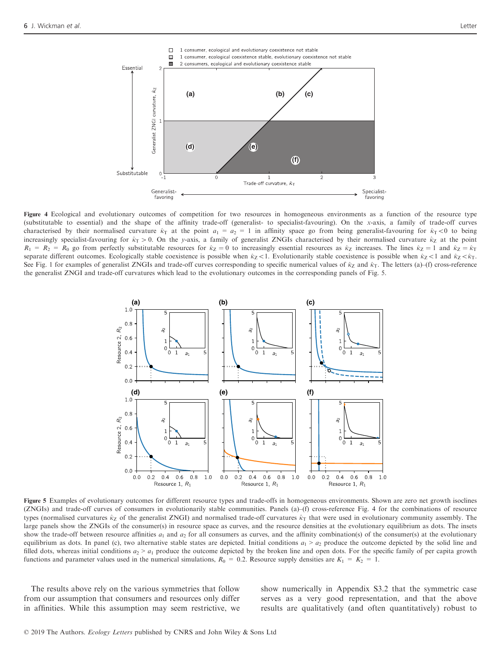

Figure 4 Ecological and evolutionary outcomes of competition for two resources in homogeneous environments as a function of the resource type (substitutable to essential) and the shape of the affinity trade-off (generalist- to specialist-favouring). On the x-axis, a family of trade-off curves characterised by their normalised curvature  $\hat{\kappa}_T$  at the point  $a_1 = a_2 = 1$  in affinity space go from being generalist-favouring for  $\hat{\kappa}_T < 0$  to being increasingly specialist-favouring for  $\hat{\kappa}_T > 0$ . On the y-axis, a family of generalist ZNGIs characterised by their normalised curvature  $\hat{\kappa}_Z$  at the point  $R_1 = R_2 = R_0$  go from perfectly substitutable resources for  $\hat{\kappa}_Z = 0$  to increasingly essential resources as  $\hat{\kappa}_Z$  increases. The lines  $\hat{\kappa}_Z = 1$  and  $\hat{\kappa}_Z = \hat{\kappa}_T$ separate different outcomes. Ecologically stable coexistence is possible when  $\hat{\kappa}_Z\lt 1$ . Evolutionarily stable coexistence is possible when  $\hat{\kappa}_Z\lt 1$  and  $\hat{\kappa}_Z\lt \hat{\kappa}_T$ . See Fig. 1 for examples of generalist ZNGIs and trade-off curves corresponding to specific numerical values of  $\hat{\kappa}_Z$  and  $\hat{\kappa}_T$ . The letters (a)–(f) cross-reference the generalist ZNGI and trade-off curvatures which lead to the evolutionary outcomes in the corresponding panels of Fig. 5.



Figure 5 Examples of evolutionary outcomes for different resource types and trade-offs in homogeneous environments. Shown are zero net growth isoclines (ZNGIs) and trade-off curves of consumers in evolutionarily stable communities. Panels (a)–(f) cross-reference Fig. 4 for the combinations of resource types (normalised curvatures  $\hat{\kappa}_Z$  of the generalist ZNGI) and normalised trade-off curvatures  $\hat{\kappa}_T$  that were used in evolutionary community assembly. The large panels show the ZNGIs of the consumer(s) in resource space as curves, and the resource densities at the evolutionary equilibrium as dots. The insets show the trade-off between resource affinities  $a_1$  and  $a_2$  for all consumers as curves, and the affinity combination(s) of the consumer(s) at the evolutionary equilibrium as dots. In panel (c), two alternative stable states are depicted. Initial conditions  $a_1 > a_2$  produce the outcome depicted by the solid line and filled dots, whereas initial conditions  $a_2 > a_1$  produce the outcome depicted by the broken line and open dots. For the specific family of per capita growth functions and parameter values used in the numerical simulations,  $R_0 = 0.2$ . Resource supply densities are  $K_1 = K_2 = 1$ .

The results above rely on the various symmetries that follow from our assumption that consumers and resources only differ in affinities. While this assumption may seem restrictive, we show numerically in Appendix S3.2 that the symmetric case serves as a very good representation, and that the above results are qualitatively (and often quantitatively) robust to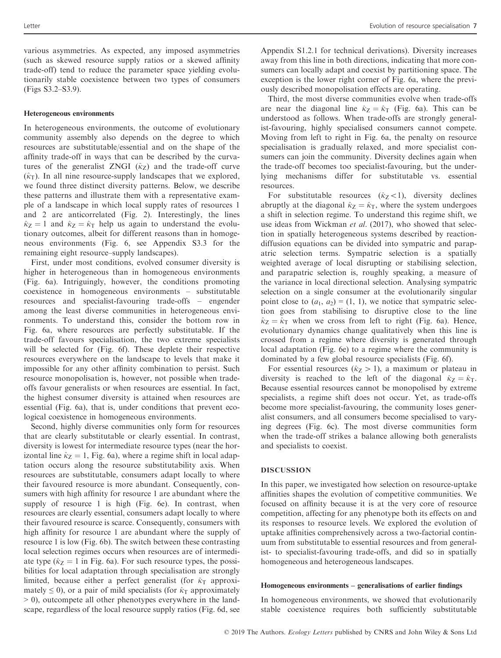various asymmetries. As expected, any imposed asymmetries (such as skewed resource supply ratios or a skewed affinity trade-off) tend to reduce the parameter space yielding evolutionarily stable coexistence between two types of consumers (Figs S3.2–S3.9).

#### Heterogeneous environments

In heterogeneous environments, the outcome of evolutionary community assembly also depends on the degree to which resources are substitutable/essential and on the shape of the affinity trade-off in ways that can be described by the curvatures of the generalist ZNGI  $(\hat{\kappa}_7)$  and the trade-off curve  $(\hat{\kappa}_T)$ . In all nine resource-supply landscapes that we explored, we found three distinct diversity patterns. Below, we describe these patterns and illustrate them with a representative example of a landscape in which local supply rates of resources 1 and 2 are anticorrelated (Fig. 2). Interestingly, the lines  $\hat{\kappa}_Z = 1$  and  $\hat{\kappa}_Z = \hat{\kappa}_T$  help us again to understand the evolutionary outcomes, albeit for different reasons than in homogeneous environments (Fig. 6, see Appendix S3.3 for the remaining eight resource–supply landscapes).

First, under most conditions, evolved consumer diversity is higher in heterogeneous than in homogeneous environments (Fig. 6a). Intriguingly, however, the conditions promoting coexistence in homogeneous environments – substitutable resources and specialist-favouring trade-offs – engender among the least diverse communities in heterogeneous environments. To understand this, consider the bottom row in Fig. 6a, where resources are perfectly substitutable. If the trade-off favours specialisation, the two extreme specialists will be selected for (Fig. 6f). These deplete their respective resources everywhere on the landscape to levels that make it impossible for any other affinity combination to persist. Such resource monopolisation is, however, not possible when tradeoffs favour generalists or when resources are essential. In fact, the highest consumer diversity is attained when resources are essential (Fig. 6a), that is, under conditions that prevent ecological coexistence in homogeneous environments.

Second, highly diverse communities only form for resources that are clearly substitutable or clearly essential. In contrast, diversity is lowest for intermediate resource types (near the horizontal line  $\hat{\kappa}_Z = 1$ , Fig. 6a), where a regime shift in local adaptation occurs along the resource substitutability axis. When resources are substitutable, consumers adapt locally to where their favoured resource is more abundant. Consequently, consumers with high affinity for resource 1 are abundant where the supply of resource 1 is high (Fig. 6e). In contrast, when resources are clearly essential, consumers adapt locally to where their favoured resource is scarce. Consequently, consumers with high affinity for resource 1 are abundant where the supply of resource 1 is low (Fig. 6b). The switch between these contrasting local selection regimes occurs when resources are of intermediate type ( $\hat{\kappa}_Z = 1$  in Fig. 6a). For such resource types, the possibilities for local adaptation through specialisation are strongly limited, because either a perfect generalist (for  $\hat{\kappa}_T$  approximately  $\leq$  0), or a pair of mild specialists (for  $\hat{\kappa}_T$  approximately > 0), outcompete all other phenotypes everywhere in the landscape, regardless of the local resource supply ratios (Fig. 6d, see

Appendix S1.2.1 for technical derivations). Diversity increases away from this line in both directions, indicating that more consumers can locally adapt and coexist by partitioning space. The exception is the lower right corner of Fig. 6a, where the previously described monopolisation effects are operating.

Third, the most diverse communities evolve when trade-offs are near the diagonal line  $\hat{\kappa}_Z = \hat{\kappa}_T$  (Fig. 6a). This can be understood as follows. When trade-offs are strongly generalist-favouring, highly specialised consumers cannot compete. Moving from left to right in Fig. 6a, the penalty on resource specialisation is gradually relaxed, and more specialist consumers can join the community. Diversity declines again when the trade-off becomes too specialist-favouring, but the underlying mechanisms differ for substitutable vs. essential resources.

For substitutable resources  $(\hat{\kappa}_Z\langle 1\rangle)$ , diversity declines abruptly at the diagonal  $\hat{\kappa}_Z = \hat{\kappa}_T$ , where the system undergoes a shift in selection regime. To understand this regime shift, we use ideas from Wickman et al. (2017), who showed that selection in spatially heterogeneous systems described by reactiondiffusion equations can be divided into sympatric and parapatric selection terms. Sympatric selection is a spatially weighted average of local disrupting or stabilising selection, and parapatric selection is, roughly speaking, a measure of the variance in local directional selection. Analysing sympatric selection on a single consumer at the evolutionarily singular point close to  $(a_1, a_2) = (1, 1)$ , we notice that sympatric selection goes from stabilising to disruptive close to the line  $\hat{\kappa}_Z = \hat{\kappa}_T$  when we cross from left to right (Fig. 6a). Hence, evolutionary dynamics change qualitatively when this line is crossed from a regime where diversity is generated through local adaptation (Fig. 6e) to a regime where the community is dominated by a few global resource specialists (Fig. 6f).

For essential resources ( $\hat{\kappa}_Z > 1$ ), a maximum or plateau in diversity is reached to the left of the diagonal  $\hat{\kappa}_Z = \hat{\kappa}_T$ . Because essential resources cannot be monopolised by extreme specialists, a regime shift does not occur. Yet, as trade-offs become more specialist-favouring, the community loses generalist consumers, and all consumers become specialised to varying degrees (Fig. 6c). The most diverse communities form when the trade-off strikes a balance allowing both generalists and specialists to coexist.

# DISCUSSION

In this paper, we investigated how selection on resource-uptake affinities shapes the evolution of competitive communities. We focused on affinity because it is at the very core of resource competition, affecting for any phenotype both its effects on and its responses to resource levels. We explored the evolution of uptake affinities comprehensively across a two-factorial continuum from substitutable to essential resources and from generalist- to specialist-favouring trade-offs, and did so in spatially homogeneous and heterogeneous landscapes.

## Homogeneous environments – generalisations of earlier findings

In homogeneous environments, we showed that evolutionarily stable coexistence requires both sufficiently substitutable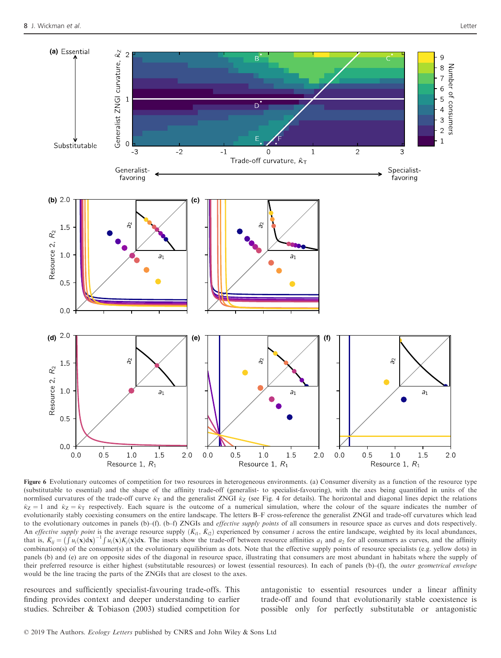

Figure 6 Evolutionary outcomes of competition for two resources in heterogeneous environments. (a) Consumer diversity as a function of the resource type (substitutable to essential) and the shape of the affinity trade-off (generalist- to specialist-favouring), with the axes being quantified in units of the normlised curvatures of the trade-off curve  $\hat{\kappa}_T$  and the generalist ZNGI  $\hat{\kappa}_Z$  (see Fig. 4 for details). The horizontal and diagonal lines depict the relations  $\hat{\kappa}_Z = 1$  and  $\hat{\kappa}_Z = \hat{\kappa}_T$  respectively. Each square is the outcome of a numerical simulation, where the colour of the square indicates the number of evolutionarily stably coexisting consumers on the entire landscape. The letters B–F cross-reference the generalist ZNGI and trade-off curvatures which lead to the evolutionary outcomes in panels (b)–(f). (b–f) ZNGIs and *effective supply points* of all consumers in resource space as curves and dots respectively. An effective supply point is the average resource supply  $(\bar{K}_{i1}, \bar{K}_{i2})$  experienced by consumer i across the entire landscape, weighted by its local abundances, that is,  $\bar{K}_{ij} = (\int u_i(\mathbf{x}) d\mathbf{x})^{-1} \int u_i(\mathbf{x}) K_j(\mathbf{x}) d\mathbf{x}$ . The insets show the trade-off between resource affinities  $a_1$  and  $a_2$  for all consumers as curves, and the affinity combination(s) of the consumer(s) at the evolutionary equilibrium as dots. Note that the effective supply points of resource specialists (e.g. yellow dots) in panels (b) and (e) are on opposite sides of the diagonal in resource space, illustrating that consumers are most abundant in habitats where the supply of their preferred resource is either highest (substitutable resources) or lowest (essential resources). In each of panels (b)–(f), the *outer geometrical envelope* would be the line tracing the parts of the ZNGIs that are closest to the axes.

resources and sufficiently specialist-favouring trade-offs. This finding provides context and deeper understanding to earlier studies. Schreiber & Tobiason (2003) studied competition for antagonistic to essential resources under a linear affinity trade-off and found that evolutionarily stable coexistence is possible only for perfectly substitutable or antagonistic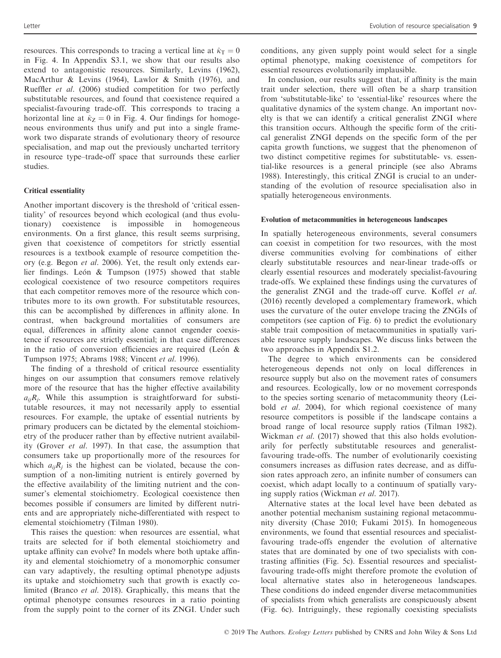resources. This corresponds to tracing a vertical line at  $\hat{\kappa}_T = 0$ in Fig. 4. In Appendix S3.1, we show that our results also extend to antagonistic resources. Similarly, Levins (1962), MacArthur & Levins (1964), Lawlor & Smith (1976), and Rueffler et al. (2006) studied competition for two perfectly substitutable resources, and found that coexistence required a specialist-favouring trade-off. This corresponds to tracing a horizontal line at  $\hat{\kappa}_Z = 0$  in Fig. 4. Our findings for homogeneous environments thus unify and put into a single framework two disparate strands of evolutionary theory of resource specialisation, and map out the previously uncharted territory in resource type–trade-off space that surrounds these earlier studies.

# Critical essentiality

Another important discovery is the threshold of 'critical essentiality' of resources beyond which ecological (and thus evolutionary) coexistence is impossible in homogeneous environments. On a first glance, this result seems surprising, given that coexistence of competitors for strictly essential resources is a textbook example of resource competition theory (e.g. Begon et al. 2006). Yet, the result only extends earlier findings. León  $&$  Tumpson (1975) showed that stable ecological coexistence of two resource competitors requires that each competitor removes more of the resource which contributes more to its own growth. For substitutable resources, this can be accomplished by differences in affinity alone. In contrast, when background mortalities of consumers are equal, differences in affinity alone cannot engender coexistence if resources are strictly essential; in that case differences in the ratio of conversion efficiencies are required (León  $\&$ Tumpson 1975; Abrams 1988; Vincent et al. 1996).

The finding of a threshold of critical resource essentiality hinges on our assumption that consumers remove relatively more of the resource that has the higher effective availability  $a_{ii}R_i$ . While this assumption is straightforward for substitutable resources, it may not necessarily apply to essential resources. For example, the uptake of essential nutrients by primary producers can be dictated by the elemental stoichiometry of the producer rather than by effective nutrient availability (Grover et al. 1997). In that case, the assumption that consumers take up proportionally more of the resources for which  $a_{ij}R_i$  is the highest can be violated, because the consumption of a non-limiting nutrient is entirely governed by the effective availability of the limiting nutrient and the consumer's elemental stoichiometry. Ecological coexistence then becomes possible if consumers are limited by different nutrients and are appropriately niche-differentiated with respect to elemental stoichiometry (Tilman 1980).

This raises the question: when resources are essential, what traits are selected for if both elemental stoichiometry and uptake affinity can evolve? In models where both uptake affinity and elemental stoichiometry of a monomorphic consumer can vary adaptively, the resulting optimal phenotype adjusts its uptake and stoichiometry such that growth is exactly colimited (Branco et al. 2018). Graphically, this means that the optimal phenotype consumes resources in a ratio pointing from the supply point to the corner of its ZNGI. Under such

conditions, any given supply point would select for a single optimal phenotype, making coexistence of competitors for essential resources evolutionarily implausible.

In conclusion, our results suggest that, if affinity is the main trait under selection, there will often be a sharp transition from 'substitutable-like' to 'essential-like' resources where the qualitative dynamics of the system change. An important novelty is that we can identify a critical generalist ZNGI where this transition occurs. Although the specific form of the critical generalist ZNGI depends on the specific form of the per capita growth functions, we suggest that the phenomenon of two distinct competitive regimes for substitutable- vs. essential-like resources is a general principle (see also Abrams 1988). Interestingly, this critical ZNGI is crucial to an understanding of the evolution of resource specialisation also in spatially heterogeneous environments.

## Evolution of metacommunities in heterogeneous landscapes

In spatially heterogeneous environments, several consumers can coexist in competition for two resources, with the most diverse communities evolving for combinations of either clearly substitutable resources and near-linear trade-offs or clearly essential resources and moderately specialist-favouring trade-offs. We explained these findings using the curvatures of the generalist ZNGI and the trade-off curve. Koffel et al. (2016) recently developed a complementary framework, which uses the curvature of the outer envelope tracing the ZNGIs of competitors (see caption of Fig. 6) to predict the evolutionary stable trait composition of metacommunities in spatially variable resource supply landscapes. We discuss links between the two approaches in Appendix S1.2.

The degree to which environments can be considered heterogeneous depends not only on local differences in resource supply but also on the movement rates of consumers and resources. Ecologically, low or no movement corresponds to the species sorting scenario of metacommunity theory (Leibold et al. 2004), for which regional coexistence of many resource competitors is possible if the landscape contains a broad range of local resource supply ratios (Tilman 1982). Wickman *et al.* (2017) showed that this also holds evolutionarily for perfectly substitutable resources and generalistfavouring trade-offs. The number of evolutionarily coexisting consumers increases as diffusion rates decrease, and as diffusion rates approach zero, an infinite number of consumers can coexist, which adapt locally to a continuum of spatially varying supply ratios (Wickman et al. 2017).

Alternative states at the local level have been debated as another potential mechanism sustaining regional metacommunity diversity (Chase 2010; Fukami 2015). In homogeneous environments, we found that essential resources and specialistfavouring trade-offs engender the evolution of alternative states that are dominated by one of two specialists with contrasting affinities (Fig. 5c). Essential resources and specialistfavouring trade-offs might therefore promote the evolution of local alternative states also in heterogeneous landscapes. These conditions do indeed engender diverse metacommunities of specialists from which generalists are conspicuously absent (Fig. 6c). Intriguingly, these regionally coexisting specialists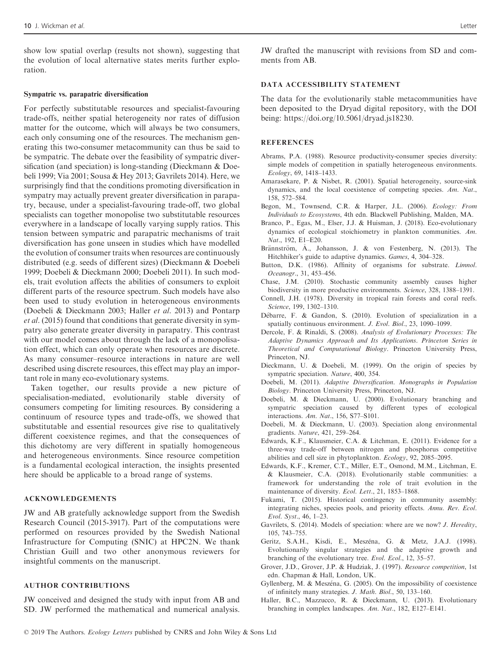show low spatial overlap (results not shown), suggesting that the evolution of local alternative states merits further exploration.

#### Sympatric vs. parapatric diversification

For perfectly substitutable resources and specialist-favouring trade-offs, neither spatial heterogeneity nor rates of diffusion matter for the outcome, which will always be two consumers, each only consuming one of the resources. The mechanism generating this two-consumer metacommunity can thus be said to be sympatric. The debate over the feasibility of sympatric diversification (and speciation) is long-standing (Dieckmann & Doebeli 1999; Via 2001; Sousa & Hey 2013; Gavrilets 2014). Here, we surprisingly find that the conditions promoting diversification in sympatry may actually prevent greater diversification in parapatry, because, under a specialist-favouring trade-off, two global specialists can together monopolise two substitutable resources everywhere in a landscape of locally varying supply ratios. This tension between sympatric and parapatric mechanisms of trait diversification has gone unseen in studies which have modelled the evolution of consumer traits when resources are continuously distributed (e.g. seeds of different sizes) (Dieckmann & Doebeli 1999; Doebeli & Dieckmann 2000; Doebeli 2011). In such models, trait evolution affects the abilities of consumers to exploit different parts of the resource spectrum. Such models have also been used to study evolution in heterogeneous environments (Doebeli & Dieckmann 2003; Haller et al. 2013) and Pontarp et al. (2015) found that conditions that generate diversity in sympatry also generate greater diversity in parapatry. This contrast with our model comes about through the lack of a monopolisation effect, which can only operate when resources are discrete. As many consumer–resource interactions in nature are well described using discrete resources, this effect may play an important role in many eco-evolutionary systems.

Taken together, our results provide a new picture of specialisation-mediated, evolutionarily stable diversity of consumers competing for limiting resources. By considering a continuum of resource types and trade-offs, we showed that substitutable and essential resources give rise to qualitatively different coexistence regimes, and that the consequences of this dichotomy are very different in spatially homogeneous and heterogeneous environments. Since resource competition is a fundamental ecological interaction, the insights presented here should be applicable to a broad range of systems.

# ACKNOWLEDGEMENTS

JW and AB gratefully acknowledge support from the Swedish Research Council (2015-3917). Part of the computations were performed on resources provided by the Swedish National Infrastructure for Computing (SNIC) at HPC2N. We thank Christian Guill and two other anonymous reviewers for insightful comments on the manuscript.

# AUTHOR CONTRIBUTIONS

JW conceived and designed the study with input from AB and SD. JW performed the mathematical and numerical analysis.

JW drafted the manuscript with revisions from SD and comments from AB.

# DATA ACCESSIBILITY STATEMENT

The data for the evolutionarily stable metacommunities have been deposited to the Dryad digital repository, with the DOI being:<https://doi.org/10.5061/dryad.js18230>.

#### **REFERENCES**

- Abrams, P.A. (1988). Resource productivity-consumer species diversity: simple models of competition in spatially heterogeneous environments. Ecology, 69, 1418–1433.
- Amarasekare, P. & Nisbet, R. (2001). Spatial heterogeneity, source-sink dynamics, and the local coexistence of competing species. Am. Nat., 158, 572–584.
- Begon, M., Townsend, C.R. & Harper, J.L. (2006). Ecology: From Individuals to Ecosystems, 4th edn. Blackwell Publishing, Malden, MA.
- Branco, P., Egas, M., Elser, J.J. & Huisman, J. (2018). Eco-evolutionary dynamics of ecological stoichiometry in plankton communities. Am. Nat., 192, E1–E20.
- Brännström, Å., Johansson, J. & von Festenberg, N. (2013). The Hitchhiker's guide to adaptive dynamics. Games, 4, 304–328.
- Button, D.K. (1986). Affinity of organisms for substrate. Limnol. Oceanogr., 31, 453–456.
- Chase, J.M. (2010). Stochastic community assembly causes higher biodiversity in more productive environments. Science, 328, 1388–1391.
- Connell, J.H. (1978). Diversity in tropical rain forests and coral reefs. Science, 199, 1302–1310.
- Debarre, F. & Gandon, S. (2010). Evolution of specialization in a spatially continuous environment. J. Evol. Biol., 23, 1090–1099.
- Dercole, F. & Rinaldi, S. (2008). Analysis of Evolutionary Processes: The Adaptive Dynamics Approach and Its Applications. Princeton Series in Theoretical and Computational Biology. Princeton University Press, Princeton, NJ.
- Dieckmann, U. & Doebeli, M. (1999). On the origin of species by sympatric speciation. Nature, 400, 354.
- Doebeli, M. (2011). Adaptive Diversification. Monographs in Population Biology. Princeton University Press, Princeton, NJ.
- Doebeli, M. & Dieckmann, U. (2000). Evolutionary branching and sympatric speciation caused by different types of ecological interactions. Am. Nat., 156, S77–S101.
- Doebeli, M. & Dieckmann, U. (2003). Speciation along environmental gradients. Nature, 421, 259–264.
- Edwards, K.F., Klausmeier, C.A. & Litchman, E. (2011). Evidence for a three-way trade-off between nitrogen and phosphorus competitive abilities and cell size in phytoplankton. Ecology, 92, 2085–2095.
- Edwards, K.F., Kremer, C.T., Miller, E.T., Osmond, M.M., Litchman, E. & Klausmeier, C.A. (2018). Evolutionarily stable communities: a framework for understanding the role of trait evolution in the maintenance of diversity. Ecol. Lett., 21, 1853–1868.
- Fukami, T. (2015). Historical contingency in community assembly: integrating niches, species pools, and priority effects. Annu. Rev. Ecol. Evol. Syst., 46, 1–23.
- Gavrilets, S. (2014). Models of speciation: where are we now? *J. Heredity*, 105, 743–755.
- Geritz, S.A.H., Kisdi, E., Meszena, G. & Metz, J.A.J. (1998). Evolutionarily singular strategies and the adaptive growth and branching of the evolutionary tree. Evol. Ecol., 12, 35–57.
- Grover, J.D., Grover, J.P. & Hudziak, J. (1997). Resource competition, 1st edn. Chapman & Hall, London, UK.
- Gyllenberg, M. & Meszena, G. (2005). On the impossibility of coexistence of infinitely many strategies. J. Math. Biol., 50, 133–160.
- Haller, B.C., Mazzucco, R. & Dieckmann, U. (2013). Evolutionary branching in complex landscapes. Am. Nat., 182, E127–E141.